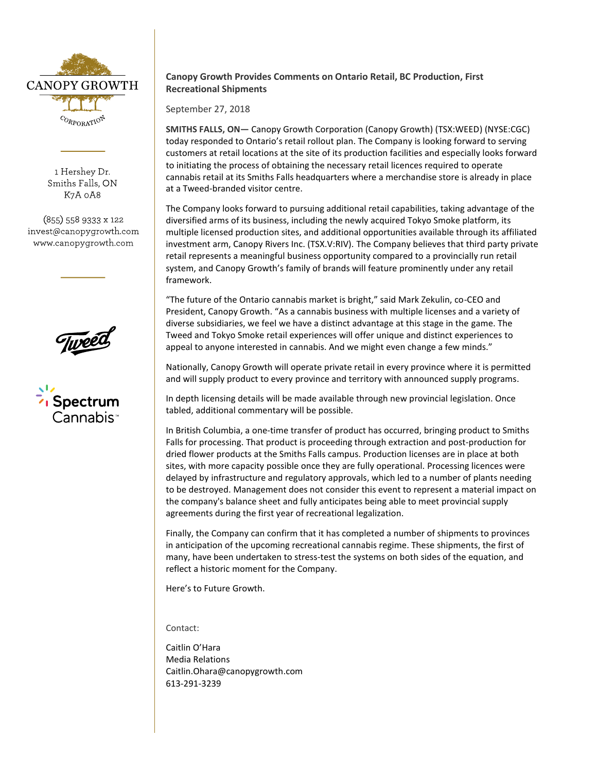

1 Hershey Dr. Smiths Falls, ON K7A 0A8

(855) 558 9333 x 122 invest@canopygrowth.com www.canopygrowth.com





## **Canopy Growth Provides Comments on Ontario Retail, BC Production, First Recreational Shipments**

September 27, 2018

**SMITHS FALLS, ON—** Canopy Growth Corporation (Canopy Growth) (TSX:WEED) (NYSE:CGC) today responded to Ontario's retail rollout plan. The Company is looking forward to serving customers at retail locations at the site of its production facilities and especially looks forward to initiating the process of obtaining the necessary retail licences required to operate cannabis retail at its Smiths Falls headquarters where a merchandise store is already in place at a Tweed-branded visitor centre.

The Company looks forward to pursuing additional retail capabilities, taking advantage of the diversified arms of its business, including the newly acquired Tokyo Smoke platform, its multiple licensed production sites, and additional opportunities available through its affiliated investment arm, Canopy Rivers Inc. (TSX.V:RIV). The Company believes that third party private retail represents a meaningful business opportunity compared to a provincially run retail system, and Canopy Growth's family of brands will feature prominently under any retail framework.

"The future of the Ontario cannabis market is bright," said Mark Zekulin, co-CEO and President, Canopy Growth. "As a cannabis business with multiple licenses and a variety of diverse subsidiaries, we feel we have a distinct advantage at this stage in the game. The Tweed and Tokyo Smoke retail experiences will offer unique and distinct experiences to appeal to anyone interested in cannabis. And we might even change a few minds."

Nationally, Canopy Growth will operate private retail in every province where it is permitted and will supply product to every province and territory with announced supply programs.

In depth licensing details will be made available through new provincial legislation. Once tabled, additional commentary will be possible.

In British Columbia, a one-time transfer of product has occurred, bringing product to Smiths Falls for processing. That product is proceeding through extraction and post-production for dried flower products at the Smiths Falls campus. Production licenses are in place at both sites, with more capacity possible once they are fully operational. Processing licences were delayed by infrastructure and regulatory approvals, which led to a number of plants needing to be destroyed. Management does not consider this event to represent a material impact on the company's balance sheet and fully anticipates being able to meet provincial supply agreements during the first year of recreational legalization.

Finally, the Company can confirm that it has completed a number of shipments to provinces in anticipation of the upcoming recreational cannabis regime. These shipments, the first of many, have been undertaken to stress-test the systems on both sides of the equation, and reflect a historic moment for the Company.

Here's to Future Growth.

Contact:

Caitlin O'Hara Media Relations [Caitlin.Ohara@canopygrowth.com](mailto:Caitlin.ohara@canopygrowth.com) 613-291-3239